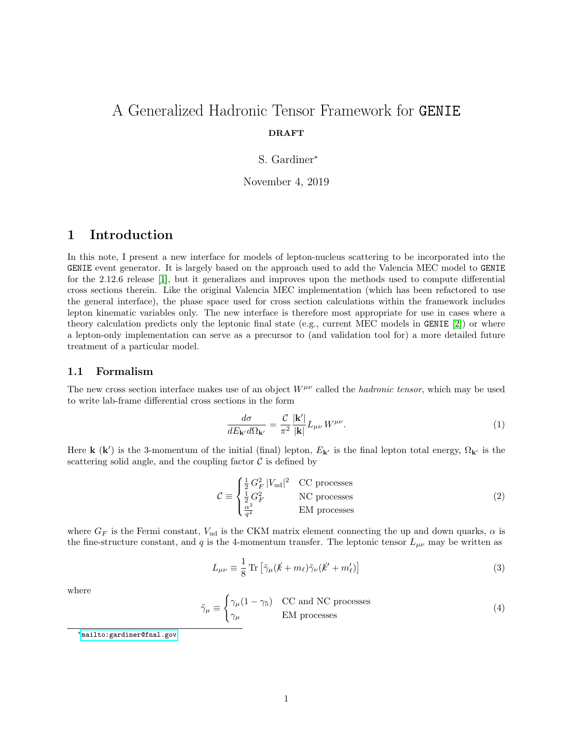# A Generalized Hadronic Tensor Framework for GENIE DRAFT

### S. Gardiner<sup>∗</sup>

November 4, 2019

# 1 Introduction

In this note, I present a new interface for models of lepton-nucleus scattering to be incorporated into the GENIE event generator. It is largely based on the approach used to add the Valencia MEC model to GENIE for the 2.12.6 release [\[1\]](#page-7-0), but it generalizes and improves upon the methods used to compute differential cross sections therein. Like the original Valencia MEC implementation (which has been refactored to use the general interface), the phase space used for cross section calculations within the framework includes lepton kinematic variables only. The new interface is therefore most appropriate for use in cases where a theory calculation predicts only the leptonic final state (e.g., current MEC models in GENIE [\[2\]](#page-7-1)) or where a lepton-only implementation can serve as a precursor to (and validation tool for) a more detailed future treatment of a particular model.

### <span id="page-0-1"></span>1.1 Formalism

The new cross section interface makes use of an object  $W^{\mu\nu}$  called the *hadronic tensor*, which may be used to write lab-frame differential cross sections in the form

<span id="page-0-2"></span>
$$
\frac{d\sigma}{dE_{\mathbf{k}'}d\Omega_{\mathbf{k}'}} = \frac{\mathcal{C}}{\pi^2} \frac{|\mathbf{k}'|}{|\mathbf{k}|} L_{\mu\nu} W^{\mu\nu}.
$$
\n(1)

Here **k** (**k**') is the 3-momentum of the initial (final) lepton,  $E_{\mathbf{k}'}$  is the final lepton total energy,  $\Omega_{\mathbf{k}'}$  is the scattering solid angle, and the coupling factor  $\mathcal C$  is defined by

<span id="page-0-0"></span>
$$
\mathcal{C} \equiv \begin{cases} \frac{1}{2} G_F^2 |V_{\text{ud}}|^2 & \text{CC processes} \\ \frac{1}{2} G_F^2 & \text{NC processes} \\ \frac{\alpha^2}{q^4} & \text{EM processes} \end{cases}
$$
(2)

where  $G_F$  is the Fermi constant,  $V_{ud}$  is the CKM matrix element connecting the up and down quarks,  $\alpha$  is the fine-structure constant, and q is the 4-momentum transfer. The leptonic tensor  $L_{\mu\nu}$  may be written as

$$
L_{\mu\nu} \equiv \frac{1}{8} \operatorname{Tr} \left[ \tilde{\gamma}_{\mu} (\not{k} + m_{\ell}) \tilde{\gamma}_{\nu} (\not{k}' + m'_{\ell}) \right]
$$
 (3)

where

$$
\tilde{\gamma}_{\mu} \equiv \begin{cases} \gamma_{\mu} (1 - \gamma_{5}) & \text{CC and NC processes} \\ \gamma_{\mu} & \text{EM processes} \end{cases}
$$
\n(4)

<sup>∗</sup><mailto:gardiner@fnal.gov>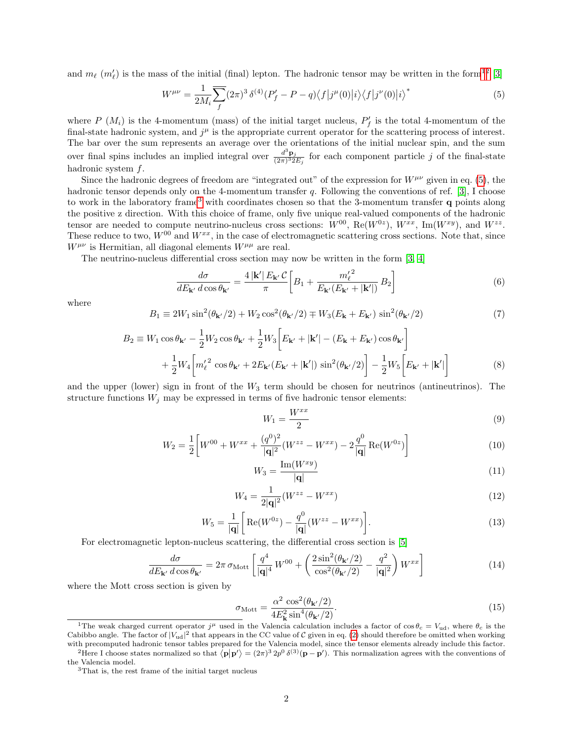and  $m_\ell$  ( $m'_\ell$ ) is the mass of the initial (final) lepton. The hadronic tensor may be written in the form<sup>[1](#page-1-0)[2](#page-1-1)</sup> [\[3\]](#page-7-2)

<span id="page-1-2"></span>
$$
W^{\mu\nu} = \frac{1}{2M_i} \sum_{f} (2\pi)^3 \,\delta^{(4)}(P'_f - P - q) \langle f | j^{\mu}(0) | i \rangle \langle f | j^{\nu}(0) | i \rangle^* \tag{5}
$$

where  $P(N_i)$  is the 4-momentum (mass) of the initial target nucleus,  $P'_f$  is the total 4-momentum of the final-state hadronic system, and  $j^{\mu}$  is the appropriate current operator for the scattering process of interest. The bar over the sum represents an average over the orientations of the initial nuclear spin, and the sum over final spins includes an implied integral over  $\frac{d^3 \mathbf{p}_j}{(2\pi)^3 2E_j}$  for each component particle j of the final-state hadronic system f.

Since the hadronic degrees of freedom are "integrated out" of the expression for  $W^{\mu\nu}$  given in eq. [\(5\)](#page-1-2), the hadronic tensor depends only on the 4-momentum transfer q. Following the conventions of ref. [\[3\]](#page-7-2), I choose to work in the laboratory frame[3](#page-1-3) with coordinates chosen so that the 3-momentum transfer q points along the positive z direction. With this choice of frame, only five unique real-valued components of the hadronic tensor are needed to compute neutrino-nucleus cross sections:  $W^{00}$ , Re $(W^{0z})$ ,  $W^{xx}$ , Im $(W^{xy})$ , and  $W^{zz}$ . These reduce to two,  $W^{00}$  and  $W^{xx}$ , in the case of electromagnetic scattering cross sections. Note that, since  $W^{\mu\nu}$  is Hermitian, all diagonal elements  $W^{\mu\mu}$  are real.

The neutrino-nucleus differential cross section may now be written in the form [\[3,](#page-7-2) [4\]](#page-8-0)

$$
\frac{d\sigma}{dE_{\mathbf{k'}} d\cos\theta_{\mathbf{k'}}} = \frac{4|\mathbf{k'}|E_{\mathbf{k'}}\mathcal{C}}{\pi} \bigg[ B_1 + \frac{m_\ell'^2}{E_{\mathbf{k'}}(E_{\mathbf{k'}} + |\mathbf{k'}|)} B_2 \bigg]
$$
(6)

where

$$
B_1 \equiv 2W_1 \sin^2(\theta_{\mathbf{k}'}/2) + W_2 \cos^2(\theta_{\mathbf{k}'}/2) \mp W_3 (E_{\mathbf{k}} + E_{\mathbf{k}'}) \sin^2(\theta_{\mathbf{k}'}/2)
$$
 (7)

$$
B_2 \equiv W_1 \cos \theta_{\mathbf{k'}} - \frac{1}{2} W_2 \cos \theta_{\mathbf{k'}} + \frac{1}{2} W_3 \left[ E_{\mathbf{k'}} + |\mathbf{k'}| - (E_{\mathbf{k}} + E_{\mathbf{k'}}) \cos \theta_{\mathbf{k'}} \right] + \frac{1}{2} W_4 \left[ m_\ell^{\prime 2} \cos \theta_{\mathbf{k'}} + 2E_{\mathbf{k'}} (E_{\mathbf{k'}} + |\mathbf{k'}|) \sin^2 (\theta_{\mathbf{k'}} / 2) \right] - \frac{1}{2} W_5 \left[ E_{\mathbf{k'}} + |\mathbf{k'}| \right]
$$
(8)

and the upper (lower) sign in front of the  $W_3$  term should be chosen for neutrinos (antineutrinos). The structure functions  $W_j$  may be expressed in terms of five hadronic tensor elements:

$$
W_1 = \frac{W^{xx}}{2} \tag{9}
$$

$$
W_2 = \frac{1}{2} \left[ W^{00} + W^{xx} + \frac{(q^0)^2}{|\mathbf{q}|^2} (W^{zz} - W^{xx}) - 2\frac{q^0}{|\mathbf{q}|} \operatorname{Re}(W^{0z}) \right]
$$
(10)

$$
W_3 = \frac{\text{Im}(W^{xy})}{|\mathbf{q}|}\tag{11}
$$

$$
W_4 = \frac{1}{2|\mathbf{q}|^2} (W^{zz} - W^{xx})
$$
\n(12)

$$
W_5 = \frac{1}{|\mathbf{q}|} \left[ \text{Re}(W^{0z}) - \frac{q^0}{|\mathbf{q}|} (W^{zz} - W^{xx}) \right]. \tag{13}
$$

For electromagnetic lepton-nucleus scattering, the differential cross section is [\[5\]](#page-8-1)

$$
\frac{d\sigma}{dE_{\mathbf{k'}}d\cos\theta_{\mathbf{k'}}}=2\pi\,\sigma_{\text{Mott}}\left[\frac{q^4}{|\mathbf{q}|^4}W^{00}+\left(\frac{2\sin^2(\theta_{\mathbf{k'}}/2)}{\cos^2(\theta_{\mathbf{k'}}/2)}-\frac{q^2}{|\mathbf{q}|^2}\right)W^{xx}\right]
$$
(14)

where the Mott cross section is given by

$$
\sigma_{\text{Mott}} = \frac{\alpha^2 \cos^2(\theta_{\mathbf{k}'}/2)}{4E_{\mathbf{k}}^2 \sin^4(\theta_{\mathbf{k}'}/2)}.
$$
\n(15)

<span id="page-1-0"></span><sup>&</sup>lt;sup>1</sup>The weak charged current operator  $j^{\mu}$  used in the Valencia calculation includes a factor of  $\cos \theta_c = V_{ud}$ , where  $\theta_c$  is the Cabibbo angle. The factor of  $|V_{ud}|^2$  that appears in the CC value of C given in eq. [\(2\)](#page-0-0) should therefore be omitted when working with precomputed hadronic tensor tables prepared for the Valencia model, since the tensor elements already include this factor.

<span id="page-1-1"></span><sup>&</sup>lt;sup>2</sup>Here I choose states normalized so that  $\langle \mathbf{p} | \mathbf{p}' \rangle = (2\pi)^3 2p^0 \delta^{(3)}(\mathbf{p} - \mathbf{p}')$ . This normalization agrees with the conventions of the Valencia model.

<span id="page-1-3"></span> $^3 \mathrm{That}$  is, the rest frame of the initial target nucleus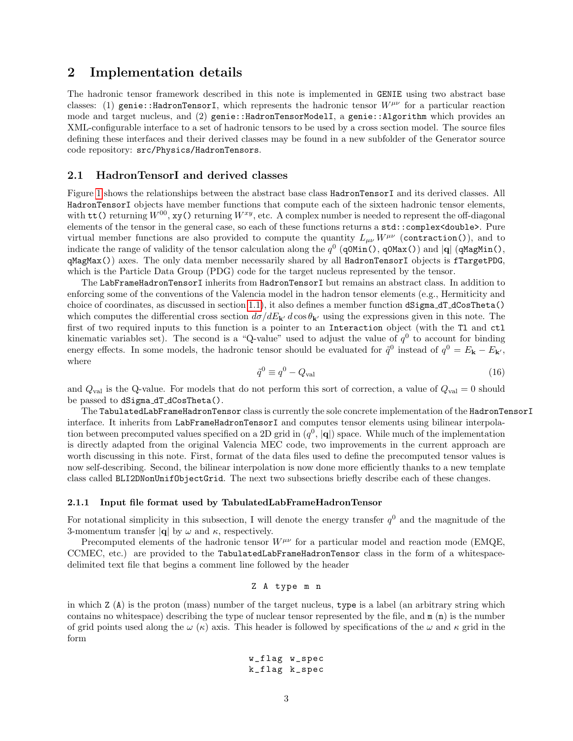# 2 Implementation details

The hadronic tensor framework described in this note is implemented in GENIE using two abstract base classes: (1) genie::HadronTensorI, which represents the hadronic tensor  $W^{\mu\nu}$  for a particular reaction mode and target nucleus, and (2) genie::HadronTensorModelI, a genie::Algorithm which provides an XML-configurable interface to a set of hadronic tensors to be used by a cross section model. The source files defining these interfaces and their derived classes may be found in a new subfolder of the Generator source code repository: src/Physics/HadronTensors.

### 2.1 HadronTensorI and derived classes

Figure [1](#page-3-0) shows the relationships between the abstract base class HadronTensorI and its derived classes. All HadronTensorI objects have member functions that compute each of the sixteen hadronic tensor elements, with  $\texttt{tt}$  () returning  $W^{00}$ , xy() returning  $W^{xy}$ , etc. A complex number is needed to represent the off-diagonal elements of the tensor in the general case, so each of these functions returns a std::complex<double>. Pure virtual member functions are also provided to compute the quantity  $L_{\mu\nu}W^{\mu\nu}$  (contraction()), and to indicate the range of validity of the tensor calculation along the  $q^0$  (q0Min(), q0Max()) and |q| (qMagMin(), qMagMax()) axes. The only data member necessarily shared by all HadronTensorI objects is fTargetPDG, which is the Particle Data Group (PDG) code for the target nucleus represented by the tensor.

The LabFrameHadronTensorI inherits from HadronTensorI but remains an abstract class. In addition to enforcing some of the conventions of the Valencia model in the hadron tensor elements (e.g., Hermiticity and choice of coordinates, as discussed in section [1.1\)](#page-0-1), it also defines a member function dSigma\_dT\_dCosTheta() which computes the differential cross section  $d\sigma/dE_{\mathbf{k}'}$  d cos  $\theta_{\mathbf{k}'}$  using the expressions given in this note. The first of two required inputs to this function is a pointer to an Interaction object (with the Tl and ctl kinematic variables set). The second is a "Q-value" used to adjust the value of  $q<sup>0</sup>$  to account for binding energy effects. In some models, the hadronic tensor should be evaluated for  $\tilde{q}^0$  instead of  $q^0 = E_{\bf k} - E_{\bf k'}$ , where

$$
\tilde{q}^0 \equiv q^0 - Q_{\text{val}} \tag{16}
$$

and  $Q_{\text{val}}$  is the Q-value. For models that do not perform this sort of correction, a value of  $Q_{\text{val}} = 0$  should be passed to dSigma dT dCosTheta().

The TabulatedLabFrameHadronTensor class is currently the sole concrete implementation of the HadronTensorI interface. It inherits from LabFrameHadronTensorI and computes tensor elements using bilinear interpolation between precomputed values specified on a 2D grid in  $(q^0, |\mathbf{q}|)$  space. While much of the implementation is directly adapted from the original Valencia MEC code, two improvements in the current approach are worth discussing in this note. First, format of the data files used to define the precomputed tensor values is now self-describing. Second, the bilinear interpolation is now done more efficiently thanks to a new template class called BLI2DNonUnifObjectGrid. The next two subsections briefly describe each of these changes.

#### <span id="page-2-0"></span>2.1.1 Input file format used by TabulatedLabFrameHadronTensor

For notational simplicity in this subsection, I will denote the energy transfer  $q<sup>0</sup>$  and the magnitude of the 3-momentum transfer  $|q|$  by  $\omega$  and  $\kappa$ , respectively.

Precomputed elements of the hadronic tensor  $W^{\mu\nu}$  for a particular model and reaction mode (EMQE, CCMEC, etc.) are provided to the TabulatedLabFrameHadronTensor class in the form of a whitespacedelimited text file that begins a comment line followed by the header

Z A type m n

in which Z (A) is the proton (mass) number of the target nucleus, type is a label (an arbitrary string which contains no whitespace) describing the type of nuclear tensor represented by the file, and  $m(n)$  is the number of grid points used along the  $\omega$  ( $\kappa$ ) axis. This header is followed by specifications of the  $\omega$  and  $\kappa$  grid in the form

w\_flag w\_spec k\_flag k\_spec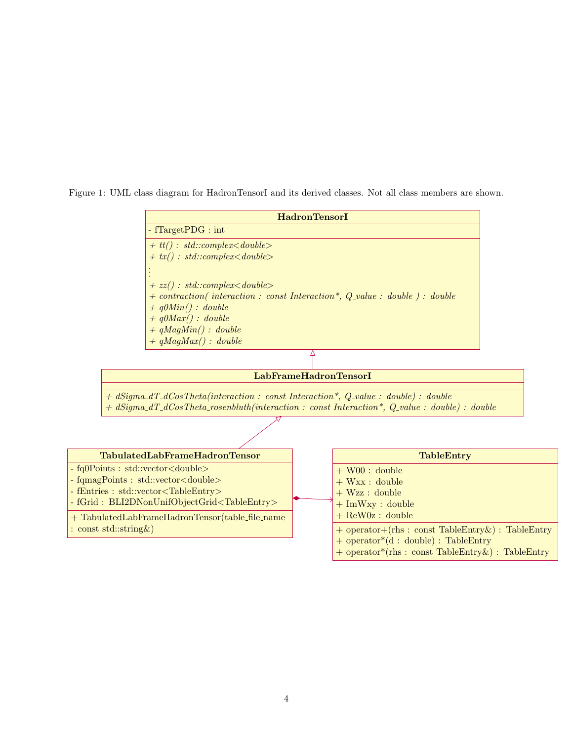<span id="page-3-0"></span>Figure 1: UML class diagram for HadronTensorI and its derived classes. Not all class members are shown.

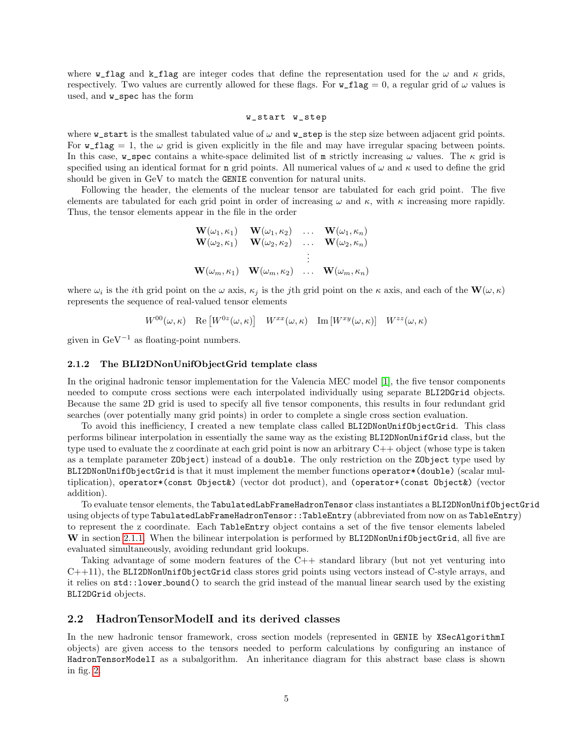where **w\_flag** and **k\_flag** are integer codes that define the representation used for the  $\omega$  and  $\kappa$  grids, respectively. Two values are currently allowed for these flags. For  $w$ \_flag = 0, a regular grid of  $\omega$  values is used, and w\_spec has the form

#### w\_start w\_step

where  $w$ <sub>start</sub> is the smallest tabulated value of  $\omega$  and  $w$ <sub>step</sub> is the step size between adjacent grid points. For  $w$ <sub>flag</sub> = 1, the  $\omega$  grid is given explicitly in the file and may have irregular spacing between points. In this case, w\_spec contains a white-space delimited list of m strictly increasing  $\omega$  values. The  $\kappa$  grid is specified using an identical format for **n** grid points. All numerical values of  $\omega$  and  $\kappa$  used to define the grid should be given in GeV to match the GENIE convention for natural units.

Following the header, the elements of the nuclear tensor are tabulated for each grid point. The five elements are tabulated for each grid point in order of increasing  $\omega$  and  $\kappa$ , with  $\kappa$  increasing more rapidly. Thus, the tensor elements appear in the file in the order

$$
\begin{array}{cccc}\n\mathbf{W}(\omega_1,\kappa_1) & \mathbf{W}(\omega_1,\kappa_2) & \dots & \mathbf{W}(\omega_1,\kappa_n) \\
\mathbf{W}(\omega_2,\kappa_1) & \mathbf{W}(\omega_2,\kappa_2) & \dots & \mathbf{W}(\omega_2,\kappa_n) \\
& \vdots & \vdots & \vdots \\
\mathbf{W}(\omega_m,\kappa_1) & \mathbf{W}(\omega_m,\kappa_2) & \dots & \mathbf{W}(\omega_m,\kappa_n)\n\end{array}
$$

where  $\omega_i$  is the *i*th grid point on the  $\omega$  axis,  $\kappa_j$  is the *j*th grid point on the  $\kappa$  axis, and each of the  $\mathbf{W}(\omega,\kappa)$ represents the sequence of real-valued tensor elements

 $W^{00}(\omega,\kappa)$  Re  $[W^{0z}(\omega,\kappa)]$   $W^{xx}(\omega,\kappa)$  Im  $[W^{xy}(\omega,\kappa)]$   $W^{zz}(\omega,\kappa)$ 

given in  $GeV^{-1}$  as floating-point numbers.

#### 2.1.2 The BLI2DNonUnifObjectGrid template class

In the original hadronic tensor implementation for the Valencia MEC model [\[1\]](#page-7-0), the five tensor components needed to compute cross sections were each interpolated individually using separate BLI2DGrid objects. Because the same 2D grid is used to specify all five tensor components, this results in four redundant grid searches (over potentially many grid points) in order to complete a single cross section evaluation.

To avoid this inefficiency, I created a new template class called BLI2DNonUnifObjectGrid. This class performs bilinear interpolation in essentially the same way as the existing BLI2DNonUnifGrid class, but the type used to evaluate the z coordinate at each grid point is now an arbitrary C++ object (whose type is taken as a template parameter ZObject) instead of a double. The only restriction on the ZObject type used by BLI2DNonUnifObjectGrid is that it must implement the member functions operator\*(double) (scalar multiplication), operator\*(const Object&) (vector dot product), and (operator+(const Object&) (vector addition).

To evaluate tensor elements, the TabulatedLabFrameHadronTensor class instantiates a BLI2DNonUnifObjectGrid using objects of type TabulatedLabFrameHadronTensor::TableEntry (abbreviated from now on as TableEntry) to represent the z coordinate. Each TableEntry object contains a set of the five tensor elements labeled W in section [2.1.1.](#page-2-0) When the bilinear interpolation is performed by BLI2DNonUnifObjectGrid, all five are evaluated simultaneously, avoiding redundant grid lookups.

Taking advantage of some modern features of the C++ standard library (but not yet venturing into C++11), the BLI2DNonUnifObjectGrid class stores grid points using vectors instead of C-style arrays, and it relies on std::lower bound() to search the grid instead of the manual linear search used by the existing BLI2DGrid objects.

### 2.2 HadronTensorModelI and its derived classes

In the new hadronic tensor framework, cross section models (represented in GENIE by XSecAlgorithmI objects) are given access to the tensors needed to perform calculations by configuring an instance of HadronTensorModelI as a subalgorithm. An inheritance diagram for this abstract base class is shown in fig. [2.](#page-6-0)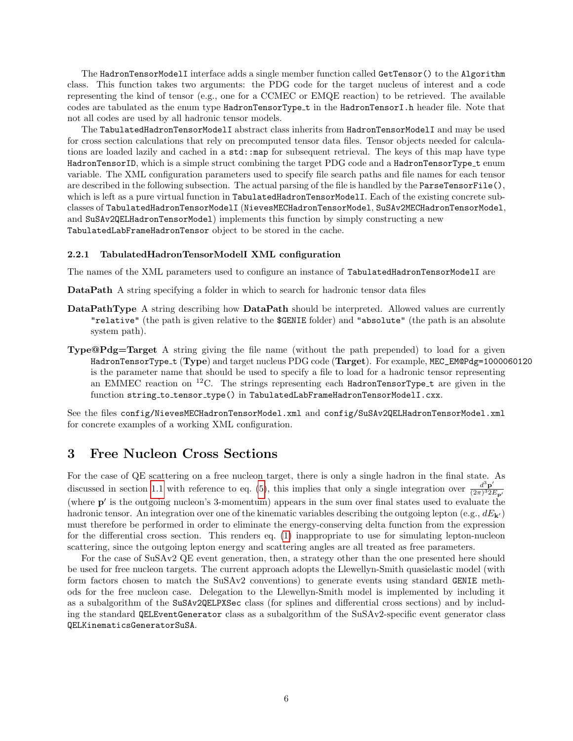The HadronTensorModelI interface adds a single member function called GetTensor() to the Algorithm class. This function takes two arguments: the PDG code for the target nucleus of interest and a code representing the kind of tensor (e.g., one for a CCMEC or EMQE reaction) to be retrieved. The available codes are tabulated as the enum type HadronTensorType t in the HadronTensorI.h header file. Note that not all codes are used by all hadronic tensor models.

The TabulatedHadronTensorModelI abstract class inherits from HadronTensorModelI and may be used for cross section calculations that rely on precomputed tensor data files. Tensor objects needed for calculations are loaded lazily and cached in a std::map for subsequent retrieval. The keys of this map have type HadronTensorID, which is a simple struct combining the target PDG code and a HadronTensorType\_t enum variable. The XML configuration parameters used to specify file search paths and file names for each tensor are described in the following subsection. The actual parsing of the file is handled by the ParseTensorFile(), which is left as a pure virtual function in TabulatedHadronTensorModelI. Each of the existing concrete subclasses of TabulatedHadronTensorModelI (NievesMECHadronTensorModel, SuSAv2MECHadronTensorModel, and SuSAv2QELHadronTensorModel) implements this function by simply constructing a new TabulatedLabFrameHadronTensor object to be stored in the cache.

#### 2.2.1 TabulatedHadronTensorModelI XML configuration

The names of the XML parameters used to configure an instance of TabulatedHadronTensorModelI are

DataPath A string specifying a folder in which to search for hadronic tensor data files

- DataPathType A string describing how DataPath should be interpreted. Allowed values are currently "relative" (the path is given relative to the \$GENIE folder) and "absolute" (the path is an absolute system path).
- Type@Pdg=Target A string giving the file name (without the path prepended) to load for a given HadronTensorType\_t (Type) and target nucleus PDG code (Target). For example, MEC\_EM@Pdg=1000060120 is the parameter name that should be used to specify a file to load for a hadronic tensor representing an EMMEC reaction on  $12^{\circ}$ C. The strings representing each HadronTensorType\_t are given in the function string\_to\_tensor\_type() in TabulatedLabFrameHadronTensorModelI.cxx.

See the files config/NievesMECHadronTensorModel.xml and config/SuSAv2QELHadronTensorModel.xml for concrete examples of a working XML configuration.

# <span id="page-5-0"></span>3 Free Nucleon Cross Sections

For the case of QE scattering on a free nucleon target, there is only a single hadron in the final state. As discussed in section [1.1](#page-0-1) with reference to eq. [\(5\)](#page-1-2), this implies that only a single integration over  $\frac{d^3 \mathbf{p}'}{(2\pi)^{32}l}$  $\overline{(2\pi)^3 2E_{\mathbf{p}'}}$ (where  $p'$  is the outgoing nucleon's 3-momentum) appears in the sum over final states used to evaluate the hadronic tensor. An integration over one of the kinematic variables describing the outgoing lepton (e.g.,  $dE_{\mathbf{k'}}$ ) must therefore be performed in order to eliminate the energy-conserving delta function from the expression for the differential cross section. This renders eq. [\(1\)](#page-0-2) inappropriate to use for simulating lepton-nucleon scattering, since the outgoing lepton energy and scattering angles are all treated as free parameters.

For the case of SuSAv2 QE event generation, then, a strategy other than the one presented here should be used for free nucleon targets. The current approach adopts the Llewellyn-Smith quasielastic model (with form factors chosen to match the SuSAv2 conventions) to generate events using standard GENIE methods for the free nucleon case. Delegation to the Llewellyn-Smith model is implemented by including it as a subalgorithm of the SuSAv2QELPXSec class (for splines and differential cross sections) and by including the standard QELEventGenerator class as a subalgorithm of the SuSAv2-specific event generator class QELKinematicsGeneratorSuSA.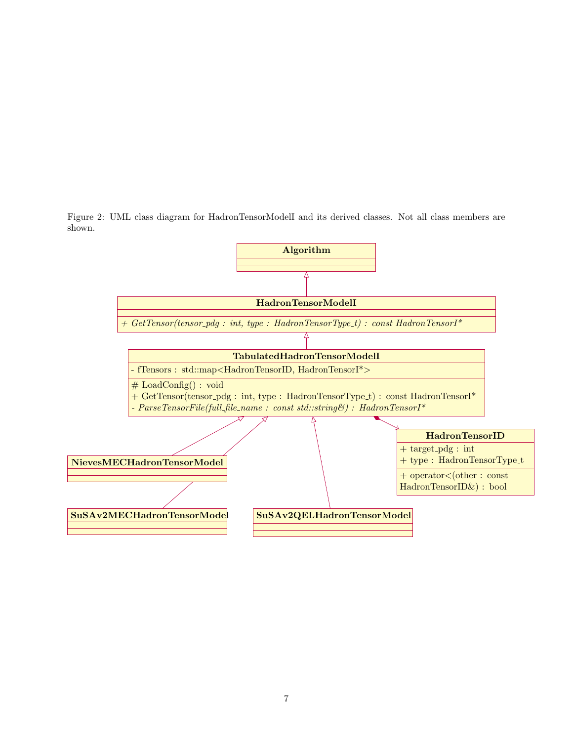<span id="page-6-0"></span>Figure 2: UML class diagram for HadronTensorModelI and its derived classes. Not all class members are shown.

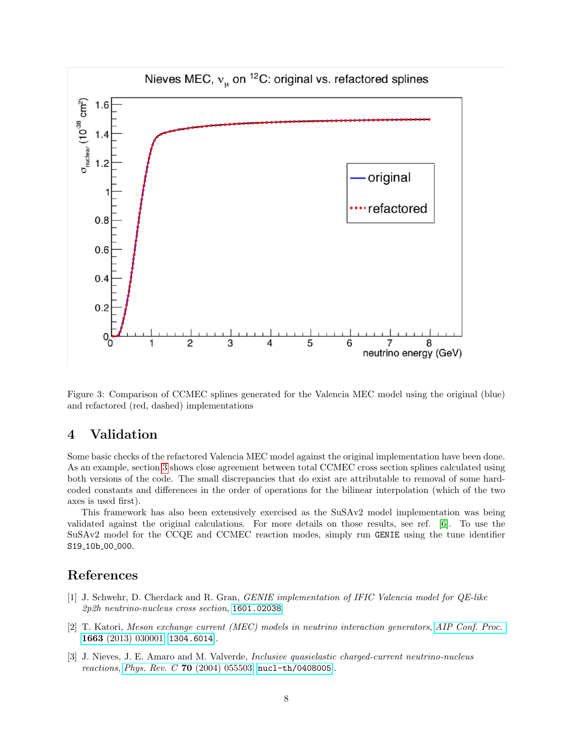

Figure 3: Comparison of CCMEC splines generated for the Valencia MEC model using the original (blue) and refactored (red, dashed) implementations

# 4 Validation

Some basic checks of the refactored Valencia MEC model against the original implementation have been done. As an example, section [3](#page-5-0) shows close agreement between total CCMEC cross section splines calculated using both versions of the code. The small discrepancies that do exist are attributable to removal of some hardcoded constants and differences in the order of operations for the bilinear interpolation (which of the two axes is used first).

This framework has also been extensively exercised as the SuSAv2 model implementation was being validated against the original calculations. For more details on those results, see ref. [\[6\]](#page-8-2). To use the SuSAv2 model for the CCQE and CCMEC reaction modes, simply run GENIE using the tune identifier S19\_10b\_00\_000.

# References

- <span id="page-7-0"></span>[1] J. Schwehr, D. Cherdack and R. Gran, GENIE implementation of IFIC Valencia model for QE-like 2p2h neutrino-nucleus cross section, [1601.02038](https://arxiv.org/abs/1601.02038).
- <span id="page-7-1"></span>[2] T. Katori, Meson exchange current (MEC) models in neutrino interaction generators, [AIP Conf. Proc.](https://doi.org/10.1063/1.4919465) 1663 [\(2013\) 030001](https://doi.org/10.1063/1.4919465) [[1304.6014](https://arxiv.org/abs/1304.6014)].
- <span id="page-7-2"></span>[3] J. Nieves, J. E. Amaro and M. Valverde, Inclusive quasielastic charged-current neutrino-nucleus reactions, Phys. Rev. C 70 [\(2004\) 055503](https://doi.org/10.1103/PhysRevC.70.055503) [[nucl-th/0408005](https://arxiv.org/abs/nucl-th/0408005)].